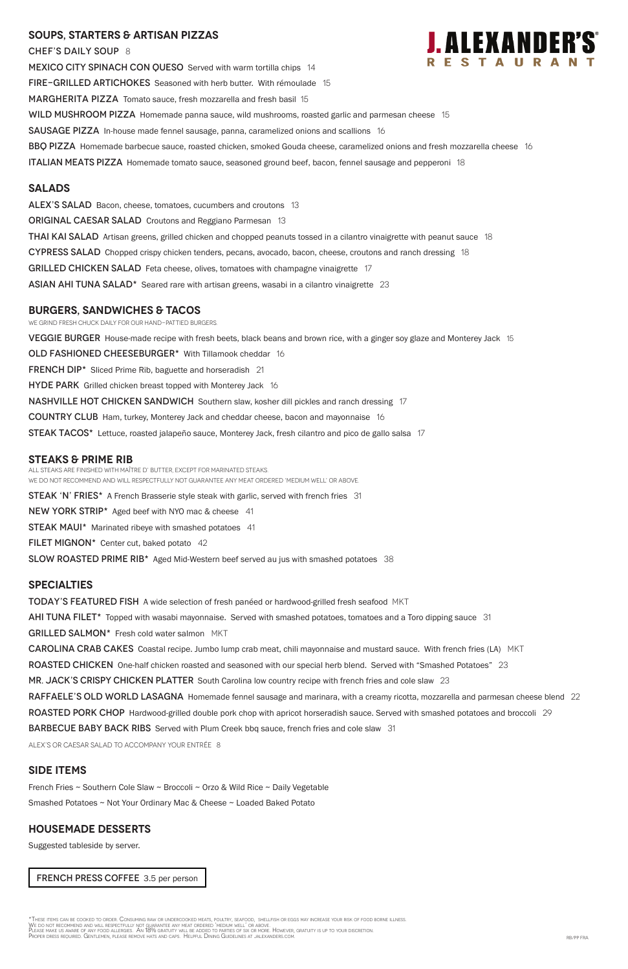## **SOUPS, Starters & ARTISAN pizzas**

CHEF'S DAILY SOUP 8 MEXICO CITY SPINACH CON QUESO Served with warm tortilla chips 14 FIRE-GRILLED ARTICHOKES Seasoned with herb butter. With rémoulade 15 MARGHERITA PIZZA Tomato sauce, fresh mozzarella and fresh basil 15 WILD MUSHROOM PIZZA Homemade panna sauce, wild mushrooms, roasted garlic and parmesan cheese 15 SAUSAGE PIZZA In-house made fennel sausage, panna, caramelized onions and scallions 16 BBQ PIZZA Homemade barbecue sauce, roasted chicken, smoked Gouda cheese, caramelized onions and fresh mozzarella cheese 16 **ITALIAN MEATS PIZZA** Homemade tomato sauce, seasoned ground beef, bacon, fennel sausage and pepperoni 18

### **Salads**

ALEX'S SALAD Bacon, cheese, tomatoes, cucumbers and croutons 13 **ORIGINAL CAESAR SALAD** Croutons and Reggiano Parmesan 13 **THAI KAI SALAD** Artisan greens, grilled chicken and chopped peanuts tossed in a cilantro vinaigrette with peanut sauce 18 CYPRESS SALAD Chopped crispy chicken tenders, pecans, avocado, bacon, cheese, croutons and ranch dressing 18 GRILLED CHICKEN SALAD Feta cheese, olives, tomatoes with champagne vinaigrette 17 ASIAN AHI TUNA SALAD\* Seared rare with artisan greens, wasabi in a cilantro vinaigrette 23

All steaks are finished with Maître d' butter, except for marinated steaks. WE DO NOT RECOMMEND AND WILL RESPECTFULLY NOT GUARANTEE ANY MEAT ORDERED 'MEDIUM WELL' OR ABOVE. **STEAK 'N' FRIES\*** A French Brasserie style steak with garlic, served with french fries 31 NEW YORK STRIP\* Aged beef with NYO mac & cheese 41 **STEAK MAUI\*** Marinated ribeye with smashed potatoes 41

FILET MIGNON $*$  Center cut, baked potato 42

SLOW ROASTED PRIME RIB<sup>\*</sup> Aged Mid-Western beef served au jus with smashed potatoes 38

### **burgers, Sandwiches & TACOS**

WE GRIND FRESH CHUCK DAILY FOR OUR HAND-PATTIED BURGERS. VEGGIE BURGER House-made recipe with fresh beets, black beans and brown rice, with a ginger soy glaze and Monterey Jack 15 OLD FASHIONED CHEESEBURGER\* With Tillamook cheddar 16 FRENCH DIP\* Sliced Prime Rib, baguette and horseradish 21 **HYDE PARK** Grilled chicken breast topped with Monterey Jack 16 **NASHVILLE HOT CHICKEN SANDWICH** Southern slaw, kosher dill pickles and ranch dressing 17 **COUNTRY CLUB** Ham, turkey, Monterey Jack and cheddar cheese, bacon and mayonnaise 16 STEAK TACOS\* Lettuce, roasted jalapeño sauce, Monterey Jack, fresh cilantro and pico de gallo salsa 17

## **STEAKS & Prime Rib**

#### **specialties**

**TODAY'S FEATURED FISH** A wide selection of fresh panéed or hardwood-grilled fresh seafood MKT

AHI TUNA FILET<sup>\*</sup> Topped with wasabi mayonnaise. Served with smashed potatoes, tomatoes and a Toro dipping sauce 31

GRILLED SALMON\* Fresh cold water salmon MKT

**CAROLINA CRAB CAKES** Coastal recipe. Jumbo lump crab meat, chili mayonnaise and mustard sauce. With french fries (LA) MKT

ROASTED CHICKEN One-half chicken roasted and seasoned with our special herb blend. Served with "Smashed Potatoes" 23

MR. JACK'S CRISPY CHICKEN PLATTER South Carolina low country recipe with french fries and cole slaw 23

RAFFAELE'S OLD WORLD LASAGNA Homemade fennel sausage and marinara, with a creamy ricotta, mozzarella and parmesan cheese blend 22



ROASTED PORK CHOP Hardwood-grilled double pork chop with apricot horseradish sauce. Served with smashed potatoes and broccoli 29

**BARBECUE BABY BACK RIBS** Served with Plum Creek bbq sauce, french fries and cole slaw 31

ALEX's or Caesar salad to accompany your entrée 8

## **SIDE ITEMS**

French Fries ~ Southern Cole Slaw ~ Broccoli ~ Orzo & Wild Rice ~ Daily Vegetable

Smashed Potatoes ~ Not Your Ordinary Mac & Cheese ~ Loaded Baked Potato

## **Housemade DESSERTS**

Suggested tableside by server.

FRENCH PRESS COFFEE 3.5 per person

\*These items can be cooked to order. Consuming raw or undercooked meats, poultry, seafood, shellfish or eggs may increase your risk of food borne illness.<br>We do not recommend and will respectfully not guarantee any meat or